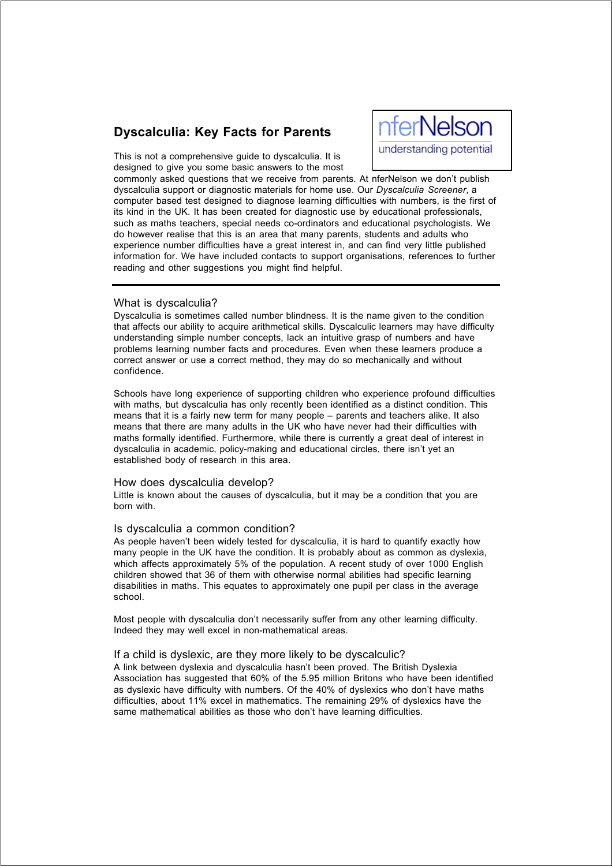# **Dyscalculia: Key Facts for Parents**

**nferNelson** understanding potential

This is not a comprehensive guide to dyscalculia. It is designed to give you some basic answers to the most

commonly asked questions that we receive from parents. At nferNelson we don't publish dyscalculia support or diagnostic materials for home use. Our *Dyscalculia Screener*, a computer based test designed to diagnose learning difficulties with numbers, is the first of its kind in the UK. It has been created for diagnostic use by educational professionals, such as maths teachers, special needs co-ordinators and educational psychologists. We do however realise that this is an area that many parents, students and adults who experience number difficulties have a great interest in, and can find very little published information for. We have included contacts to support organisations, references to further reading and other suggestions you might find helpful.

# What is dyscalculia?

Dyscalculia is sometimes called number blindness. It is the name given to the condition that affects our ability to acquire arithmetical skills. Dyscalculic learners may have difficulty understanding simple number concepts, lack an intuitive grasp of numbers and have problems learning number facts and procedures. Even when these learners produce a correct answer or use a correct method, they may do so mechanically and without confidence.

Schools have long experience of supporting children who experience profound difficulties with maths, but dyscalculia has only recently been identified as a distinct condition. This means that it is a fairly new term for many people – parents and teachers alike. It also means that there are many adults in the UK who have never had their difficulties with maths formally identified. Furthermore, while there is currently a great deal of interest in dyscalculia in academic, policy-making and educational circles, there isn't yet an established body of research in this area.

# How does dyscalculia develop?

Little is known about the causes of dyscalculia, but it may be a condition that you are born with.

# Is dyscalculia a common condition?

As people haven't been widely tested for dyscalculia, it is hard to quantify exactly how many people in the UK have the condition. It is probably about as common as dyslexia, which affects approximately 5% of the population. A recent study of over 1000 English children showed that 36 of them with otherwise normal abilities had specific learning disabilities in maths. This equates to approximately one pupil per class in the average school.

Most people with dyscalculia don't necessarily suffer from any other learning difficulty. Indeed they may well excel in non-mathematical areas.

#### If a child is dyslexic, are they more likely to be dyscalculic?

A link between dyslexia and dyscalculia hasn't been proved. The British Dyslexia Association has suggested that 60% of the 5.95 million Britons who have been identified as dyslexic have difficulty with numbers. Of the 40% of dyslexics who don't have maths difficulties, about 11% excel in mathematics. The remaining 29% of dyslexics have the same mathematical abilities as those who don't have learning difficulties.